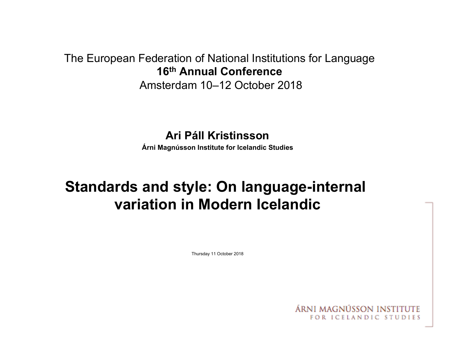## The European Federation of National Institutions for Language **16th Annual Conference**

Amsterdam 10–12 October 2018

### **Ari Páll Kristinsson**

**Árni Magnússon Institute for Icelandic Studies** 

# **Standards and style: On language-internal variation in Modern Icelandic**

Thursday 11 October 2018

ÁRNI MAGNÚSSON INSTITI FOR ICELANDIC STUDIES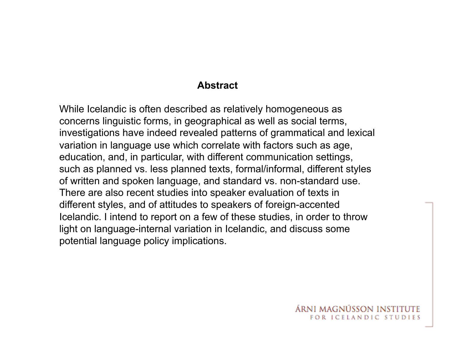#### **Abstract**

While Icelandic is often described as relatively homogeneous as concerns linguistic forms, in geographical as well as social terms, investigations have indeed revealed patterns of grammatical and lexical variation in language use which correlate with factors such as age, education, and, in particular, with different communication settings, such as planned vs. less planned texts, formal/informal, different styles of written and spoken language, and standard vs. non-standard use. There are also recent studies into speaker evaluation of texts in different styles, and of attitudes to speakers of foreign-accented Icelandic. I intend to report on a few of these studies, in order to throw light on language-internal variation in Icelandic, and discuss some potential language policy implications.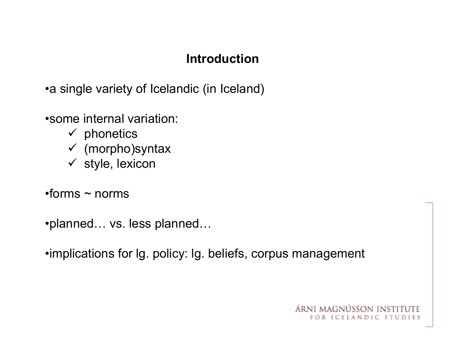### **Introduction**

•a single variety of Icelandic (in Iceland)

•some internal variation:

- $\checkmark$  phonetics
- $\checkmark$  (morpho)syntax
- $\checkmark$  style, lexicon
- $\cdot$ forms  $\sim$  norms

•planned… vs. less planned…

•implications for lg. policy: lg. beliefs, corpus management

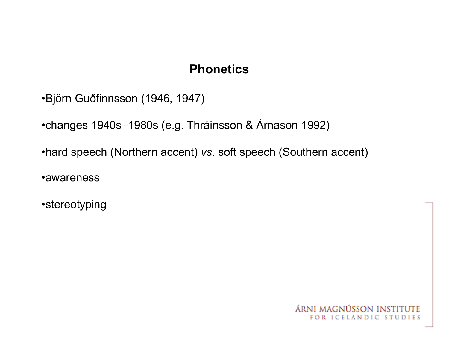## **Phonetics**

•Björn Guðfinnsson (1946, 1947)

•changes 1940s–1980s (e.g. Thráinsson & Árnason 1992)

•hard speech (Northern accent) *vs.* soft speech (Southern accent)

•awareness

•stereotyping

ÁRNI MAGNÚSSON INSTI FOR ICELANDIC STUDIES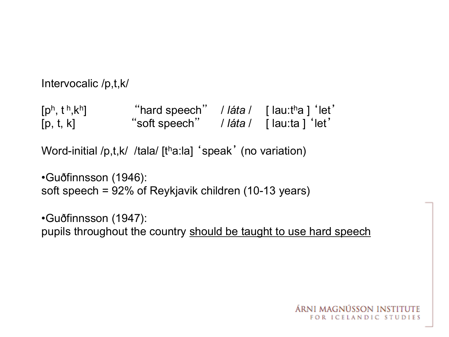```
Intervocalic /p,t,k/
```
[ph, t h,kh] "hard speech" / *láta* / [ lau:tha ] 'let' [p, t, k] "soft speech" / *láta* / [ lau:ta ] 'let'

Word-initial /p,t,k/ /tala/ [tha:la] 'speak' (no variation)

```
•Guðfinnsson (1946): 
soft speech = 92% of Reykjavik children (10-13 years)
```
•Guðfinnsson (1947): pupils throughout the country should be taught to use hard speech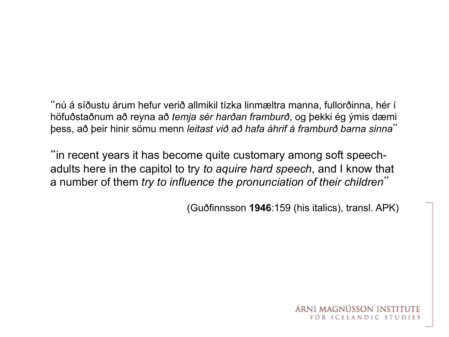"nú á síðustu árum hefur verið allmikil tízka linmæltra manna, fullorðinna, hér í höfuðstaðnum að reyna að *temja sér harðan framburð*, og þekki ég ýmis dæmi þess, að þeir hinir sömu menn *leitast við að hafa áhrif á framburð barna sinna*"

"in recent years it has become quite customary among soft speechadults here in the capitol to try *to aquire hard speech*, and I know that a number of them *try to influence the pronunciation of their children*"

(Guðfinnsson **1946**:159 (his italics), transl. APK)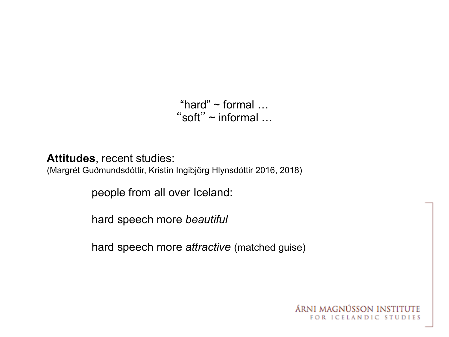"hard"  $\sim$  formal  $\dots$ "soft" ~ informal …

**Attitudes**, recent studies:

(Margrét Guðmundsdóttir, Kristín Ingibjörg Hlynsdóttir 2016, 2018)

people from all over Iceland:

hard speech more *beautiful* 

hard speech more *attractive* (matched guise)

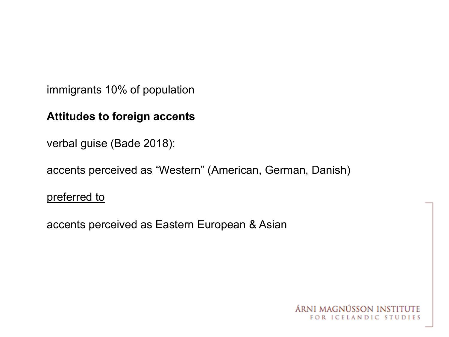immigrants 10% of population

### **Attitudes to foreign accents**

verbal guise (Bade 2018):

accents perceived as "Western" (American, German, Danish)

preferred to

accents perceived as Eastern European & Asian

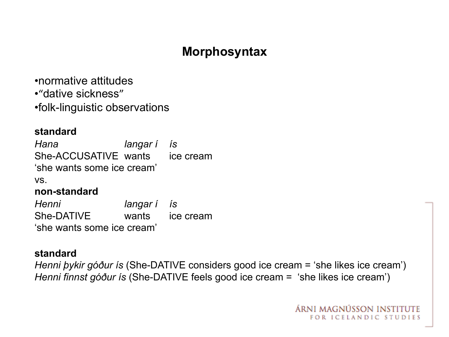## **Morphosyntax**

•normative attitudes

•"dative sickness"

•folk-linguistic observations

#### **standard**

*Hana langar í ís* She-ACCUSATIVE wants ice cream 'she wants some ice cream' vs. **non-standard**

*Henni langar í ís* She-DATIVE wants ice cream 'she wants some ice cream'

#### **standard**

*Henni þykir góður ís* (She-DATIVE considers good ice cream = 'she likes ice cream') *Henni finnst góður ís* (She-DATIVE feels good ice cream = 'she likes ice cream')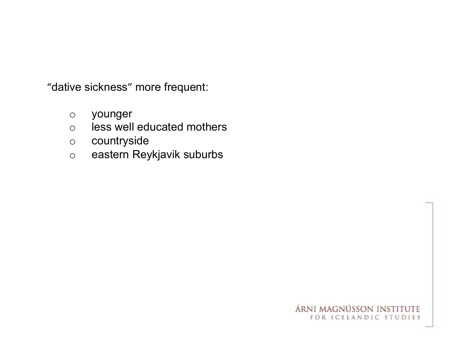"dative sickness" more frequent:

- o younger
- o less well educated mothers
- o countryside
- o eastern Reykjavik suburbs

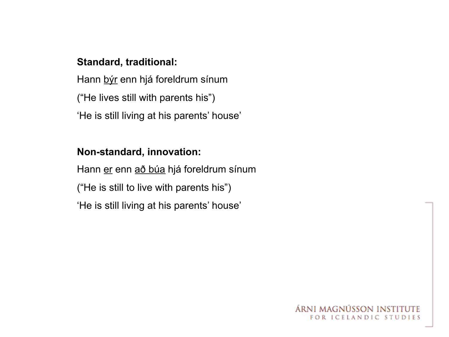#### **Standard, traditional:**

Hann býr enn hjá foreldrum sínum ("He lives still with parents his") 'He is still living at his parents' house'

#### **Non-standard, innovation:**

Hann er enn að búa hjá foreldrum sínum ("He is still to live with parents his") 'He is still living at his parents' house'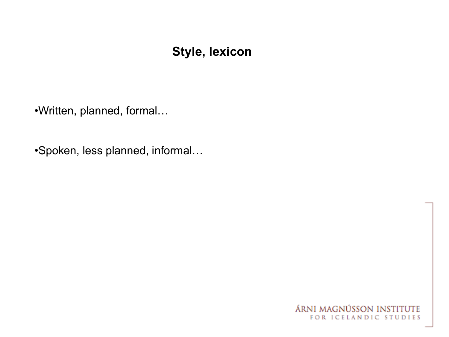### **Style, lexicon**

•Written, planned, formal…

•Spoken, less planned, informal…

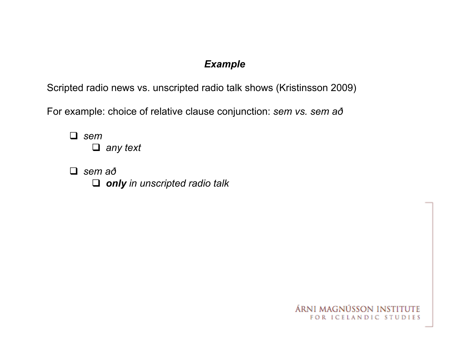#### *Example*

Scripted radio news vs. unscripted radio talk shows (Kristinsson 2009)

For example: choice of relative clause conjunction: *sem vs. sem að*

q *sem*  q *any text* 

q *sem að*  q *only in unscripted radio talk* 

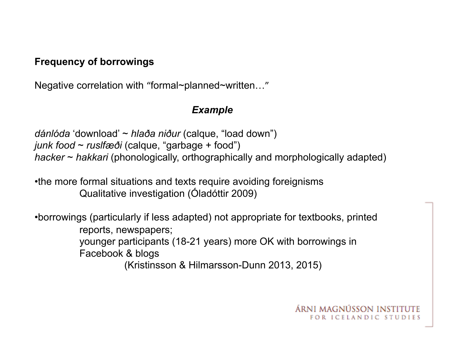#### **Frequency of borrowings**

Negative correlation with "formal~planned~written…"

#### *Example*

*dánlóda* 'download' ~ *hlaða niður* (calque, "load down") *junk food* ~ *ruslfæði* (calque, "garbage + food") *hacker* ~ *hakkari* (phonologically, orthographically and morphologically adapted)

•the more formal situations and texts require avoiding foreignisms Qualitative investigation (Óladóttir 2009)

•borrowings (particularly if less adapted) not appropriate for textbooks, printed reports, newspapers; younger participants (18-21 years) more OK with borrowings in Facebook & blogs (Kristinsson & Hilmarsson-Dunn 2013, 2015)